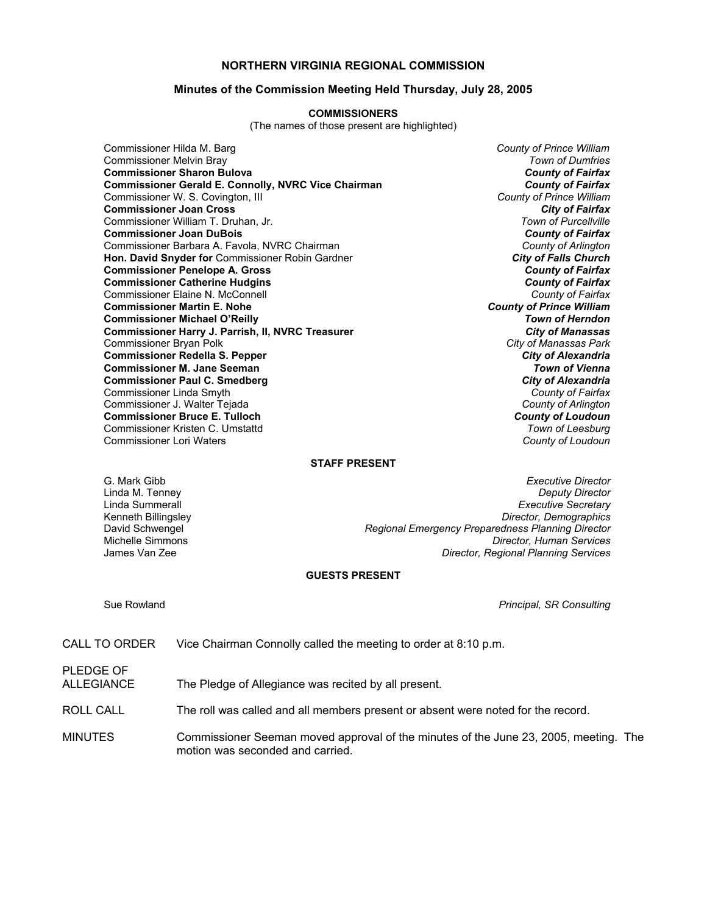### **NORTHERN VIRGINIA REGIONAL COMMISSION**

#### **Minutes of the Commission Meeting Held Thursday, July 28, 2005**

#### **COMMISSIONERS**

(The names of those present are highlighted)

Commissioner Hilda M. Barg *County of Prince William* Commissioner Melvin Bray *Town of Dumfries* **Commissioner Sharon Bulova** *County of Fairfax* **Commissioner Gerald E. Connolly, NVRC Vice Chairman** *County of Fairfax**County of Fairfax**Commissioner W. S. Covington, III* Commissioner W. S. Covington, III *County of Prince William* **Commissioner Joan Cross** *City of Fairfax* Commissioner William T. Druhan, Jr. *Town of Purcellville* **Commissioner Joan DuBois** *County of Fairfax* Commissioner Barbara A. Favola, NVRC Chairman *County of Arlington* **Hon. David Snyder for Commissioner Robin Gardner Commissioner Penelope A. Gross** *County of Fairfax* **Commissioner Catherine Hudgins** *County of Fairfax* Commissioner Elaine N. McConnell *County of Fairfax* **Commissioner Martin E. Nohe Commissioner Michael O'Reilly** *Town of Herndon* **Commissioner Harry J. Parrish, II, NVRC Treasurer** Commissioner Bryan Polk *City of Manassas Park* **Commissioner Redella S. Pepper Commissioner M. Jane Seeman** *Town of Vienna* **Commissioner Paul C. Smedberg** *City of Alexandria***<br>** *Commissioner Linda Smyth**Commissioner Linda Smyth* Commissioner Linda Smyth *County of Fairfax* Commissioner J. Walter Tejada *County of Arlington* **Commissioner Bruce E. Tulloch** *County of Loudoun* Commissioner Kristen C. Umstattd *Town of Leesburg* Commissioner Lori Waters *County of Loudoun*

#### **STAFF PRESENT**

G. Mark Gibb *Executive Director* Linda M. Tenney *Deputy Director* Linda Summerall *Executive Secretary* Kenneth Billingsley *Director, Demographics* David Schwengel *Regional Emergency Preparedness Planning Director* Michelle Simmons *Director, Human Services* **Director, Regional Planning Services** 

#### **GUESTS PRESENT**

Sue Rowland *Principal, SR Consulting*

| CALL TO ORDER |  | Vice Chairman Connolly called the meeting to order at 8:10 p.m. |  |
|---------------|--|-----------------------------------------------------------------|--|
|---------------|--|-----------------------------------------------------------------|--|

PLEDGE OF ALLEGIANCE The Pledge of Allegiance was recited by all present.

ROLL CALL The roll was called and all members present or absent were noted for the record.

MINUTES Commissioner Seeman moved approval of the minutes of the June 23, 2005, meeting. The motion was seconded and carried.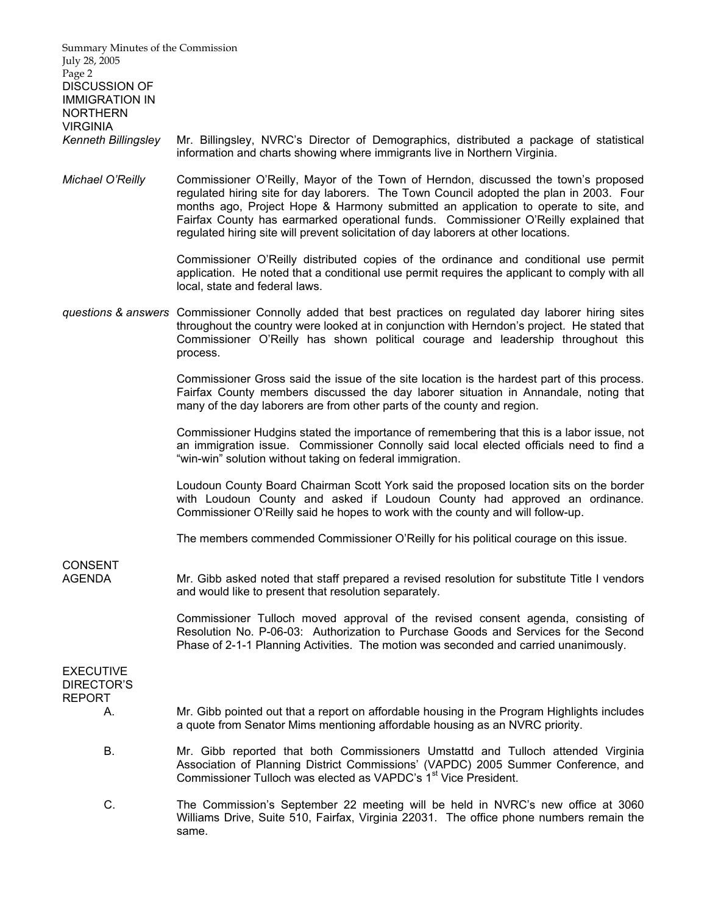| Summary Minutes of the Commission<br>July 28, 2005<br>Page 2<br><b>DISCUSSION OF</b><br><b>IMMIGRATION IN</b><br><b>NORTHERN</b> |                                                                                                                                                                                                                                                                                                                                                                                                                                                     |
|----------------------------------------------------------------------------------------------------------------------------------|-----------------------------------------------------------------------------------------------------------------------------------------------------------------------------------------------------------------------------------------------------------------------------------------------------------------------------------------------------------------------------------------------------------------------------------------------------|
| <b>VIRGINIA</b><br><b>Kenneth Billingsley</b>                                                                                    | Mr. Billingsley, NVRC's Director of Demographics, distributed a package of statistical<br>information and charts showing where immigrants live in Northern Virginia.                                                                                                                                                                                                                                                                                |
| Michael O'Reilly                                                                                                                 | Commissioner O'Reilly, Mayor of the Town of Herndon, discussed the town's proposed<br>regulated hiring site for day laborers. The Town Council adopted the plan in 2003. Four<br>months ago, Project Hope & Harmony submitted an application to operate to site, and<br>Fairfax County has earmarked operational funds. Commissioner O'Reilly explained that<br>regulated hiring site will prevent solicitation of day laborers at other locations. |
|                                                                                                                                  | Commissioner O'Reilly distributed copies of the ordinance and conditional use permit<br>application. He noted that a conditional use permit requires the applicant to comply with all<br>local, state and federal laws.                                                                                                                                                                                                                             |
|                                                                                                                                  | questions & answers Commissioner Connolly added that best practices on regulated day laborer hiring sites<br>throughout the country were looked at in conjunction with Herndon's project. He stated that<br>Commissioner O'Reilly has shown political courage and leadership throughout this<br>process.                                                                                                                                            |
|                                                                                                                                  | Commissioner Gross said the issue of the site location is the hardest part of this process.<br>Fairfax County members discussed the day laborer situation in Annandale, noting that<br>many of the day laborers are from other parts of the county and region.                                                                                                                                                                                      |
|                                                                                                                                  | Commissioner Hudgins stated the importance of remembering that this is a labor issue, not<br>an immigration issue. Commissioner Connolly said local elected officials need to find a<br>"win-win" solution without taking on federal immigration.                                                                                                                                                                                                   |
|                                                                                                                                  | Loudoun County Board Chairman Scott York said the proposed location sits on the border<br>with Loudoun County and asked if Loudoun County had approved an ordinance.<br>Commissioner O'Reilly said he hopes to work with the county and will follow-up.                                                                                                                                                                                             |
|                                                                                                                                  | The members commended Commissioner O'Reilly for his political courage on this issue.                                                                                                                                                                                                                                                                                                                                                                |
| <b>CONSENT</b><br><b>AGENDA</b>                                                                                                  | Mr. Gibb asked noted that staff prepared a revised resolution for substitute Title I vendors<br>and would like to present that resolution separately.                                                                                                                                                                                                                                                                                               |
|                                                                                                                                  | Commissioner Tulloch moved approval of the revised consent agenda, consisting of<br>Resolution No. P-06-03: Authorization to Purchase Goods and Services for the Second<br>Phase of 2-1-1 Planning Activities. The motion was seconded and carried unanimously.                                                                                                                                                                                     |
| <b>EXECUTIVE</b><br>DIRECTOR'S                                                                                                   |                                                                                                                                                                                                                                                                                                                                                                                                                                                     |
| <b>REPORT</b><br>А.                                                                                                              | Mr. Gibb pointed out that a report on affordable housing in the Program Highlights includes<br>a quote from Senator Mims mentioning affordable housing as an NVRC priority.                                                                                                                                                                                                                                                                         |
| <b>B.</b>                                                                                                                        | Mr. Gibb reported that both Commissioners Umstattd and Tulloch attended Virginia<br>Association of Planning District Commissions' (VAPDC) 2005 Summer Conference, and<br>Commissioner Tulloch was elected as VAPDC's 1 <sup>st</sup> Vice President.                                                                                                                                                                                                |
| C.                                                                                                                               | The Commission's September 22 meeting will be held in NVRC's new office at 3060<br>Williams Drive, Suite 510, Fairfax, Virginia 22031. The office phone numbers remain the<br>same.                                                                                                                                                                                                                                                                 |